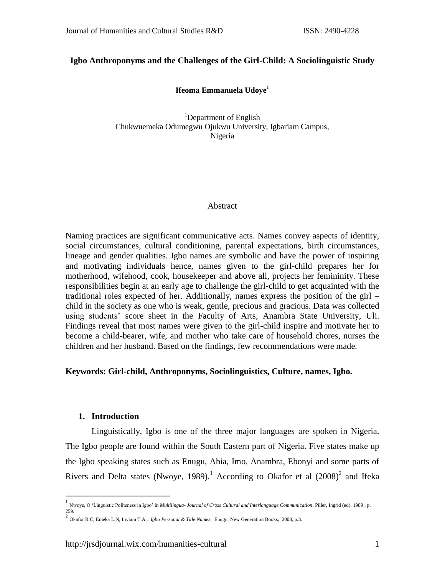## **Igbo Anthroponyms and the Challenges of the Girl-Child: A Sociolinguistic Study**

## **Ifeoma Emmanuela Udoye 1**

<sup>1</sup>Department of English Chukwuemeka Odumegwu Ojukwu University, Igbariam Campus, Nigeria

### Abstract

Naming practices are significant communicative acts. Names convey aspects of identity, social circumstances, cultural conditioning, parental expectations, birth circumstances, lineage and gender qualities. Igbo names are symbolic and have the power of inspiring and motivating individuals hence, names given to the girl-child prepares her for motherhood, wifehood, cook, housekeeper and above all, projects her femininity. These responsibilities begin at an early age to challenge the girl-child to get acquainted with the traditional roles expected of her. Additionally, names express the position of the girl – child in the society as one who is weak, gentle, precious and gracious. Data was collected using students' score sheet in the Faculty of Arts, Anambra State University, Uli. Findings reveal that most names were given to the girl-child inspire and motivate her to become a child-bearer, wife, and mother who take care of household chores, nurses the children and her husband. Based on the findings, few recommendations were made.

## **Keywords: Girl-child, Anthroponyms, Sociolinguistics, Culture, names, Igbo.**

## **1. Introduction**

Linguistically, Igbo is one of the three major languages are spoken in Nigeria. The Igbo people are found within the South Eastern part of Nigeria. Five states make up the Igbo speaking states such as Enugu, Abia, Imo, Anambra, Ebonyi and some parts of Rivers and Delta states (Nwoye, 1989).<sup>1</sup> According to Okafor et al  $(2008)^2$  and Ifeka

 1 Nwoye, O 'Linguistic Politeness in Igbo' in *Multilingua- Journal of Cross Cultural and Interlanguage Communication*, Piller, Ingrid (ed). 1989 , p.

<sup>259.</sup> 2 Okafor R.C, Emeka L.N, Inyiam T.A., *Igbo Personal & Title Names*, Enugu: New Generation Books, 2008, p.3.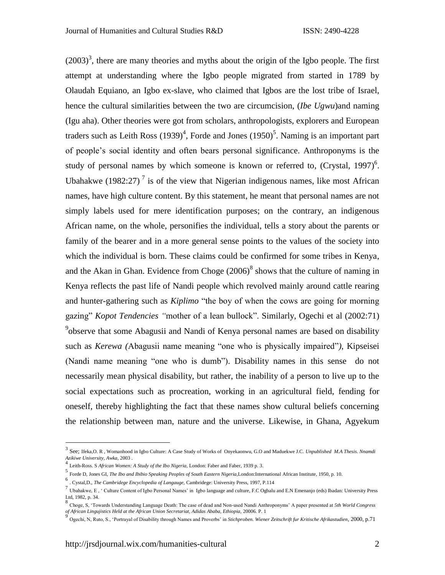$(2003)^3$ , there are many theories and myths about the origin of the Igbo people. The first attempt at understanding where the Igbo people migrated from started in 1789 by Olaudah Equiano, an Igbo ex-slave, who claimed that Igbos are the lost tribe of Israel, hence the cultural similarities between the two are circumcision, (*Ibe Ugwu*)and naming (Igu aha). Other theories were got from scholars, anthropologists, explorers and European traders such as Leith Ross  $(1939)^4$ , Forde and Jones  $(1950)^5$ . Naming is an important part of people's social identity and often bears personal significance. Anthroponyms is the study of personal names by which someone is known or referred to,  $(Crystal, 1997)^6$ . Ubahakwe (1982:27)<sup>7</sup> is of the view that Nigerian indigenous names, like most African names, have high culture content. By this statement, he meant that personal names are not simply labels used for mere identification purposes; on the contrary, an indigenous African name, on the whole, personifies the individual, tells a story about the parents or family of the bearer and in a more general sense points to the values of the society into which the individual is born. These claims could be confirmed for some tribes in Kenya, and the Akan in Ghan. Evidence from Choge  $(2006)^8$  shows that the culture of naming in Kenya reflects the past life of Nandi people which revolved mainly around cattle rearing and hunter-gathering such as *Kiplimo* "the boy of when the cows are going for morning gazing" *Kopot Tendencies "*mother of a lean bullock". Similarly, Ogechi et al (2002:71) <sup>9</sup>observe that some Abagusii and Nandi of Kenya personal names are based on disability such as *Kerewa (*Abagusii name meaning "one who is physically impaired"*)*, Kipseisei (Nandi name meaning "one who is dumb"). Disability names in this sense do not necessarily mean physical disability, but rather, the inability of a person to live up to the social expectations such as procreation, working in an agricultural field, fending for oneself, thereby highlighting the fact that these names show cultural beliefs concerning the relationship between man, nature and the universe. Likewise, in Ghana, Agyekum

<sup>3</sup> See; Ifeka,O. R , Womanhood in Igbo Culture: A Case Study of Works of Onyekaonwu, G.O and Maduekwe J.C. *Unpublished M.A Thesis. Nnamdi Azikiwe University, Awka*, 2003 . 4

Leith-Ross. S *African Women: A Study of the Ibo Nigeria,* London: Faber and Faber, 1939 p. 3.

<sup>5</sup> Forde D, Jones GI, *The Ibo and Ibibio Speaking Peoples of South Eastern Nigeria,*London:International African Institute, 1950, p. 10.

<sup>6</sup> . Cystal,D., *The Cambridege Encyclopedia of Langauge,* Cambridege: University Press, 1997, P.114

<sup>&</sup>lt;sup>7</sup> Ubahakwe, E, ' Culture Content of Igbo Personal Names' in Igbo language and culture, F.C Ogbalu and E.N Emenanjo (eds) Ibadan: University Press Ltd, 1982, p. 34.

<sup>8</sup> Choge, S, 'Towards Understanding Language Death: The case of dead and Non-used Nandi Anthroponyms' A paper presented at *5th World Congress of African Lingujistics Held at the African Union Secretariat, Adidas Ababa, Ethiopia,* 20006. P. 1 9

Ogechi, N, Ruto, S., 'Portrayal of Disability through Names and Proverbs' in *Stichproben. Wiener Zeitschrift fur Kritische Afrikastudien,* 2000, p.71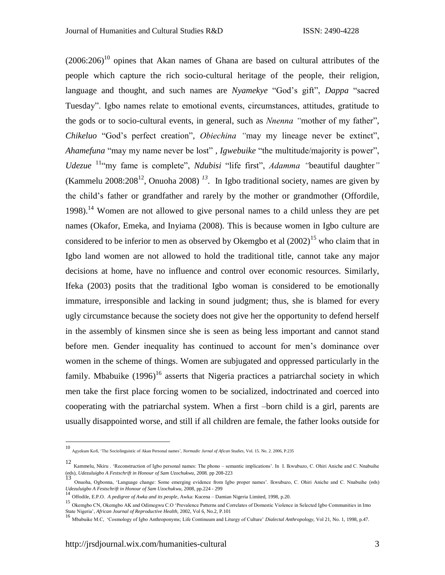$(2006:206)^{10}$  opines that Akan names of Ghana are based on cultural attributes of the people which capture the rich socio-cultural heritage of the people, their religion, language and thought, and such names are *Nyamekye* "God's gift", *Dappa* "sacred Tuesday". Igbo names relate to emotional events, circumstances, attitudes, gratitude to the gods or to socio-cultural events, in general, such as *Nnenna "*mother of my father", *Chikeluo* "God's perfect creation"*, Obiechina "*may my lineage never be extinct", *Ahamefuna* "may my name never be lost" *, Igwebuike* "the multitude/majority is power", *Udezue* <sup>11"</sup>my fame is complete", *Ndubisi* "life first", *Adamma* "beautiful daughter" (Kammelu 2008:208<sup>12</sup>, Onuoha 2008)<sup>13</sup>. In Igbo traditional society, names are given by the child's father or grandfather and rarely by the mother or grandmother (Offordile, 1998).<sup>14</sup> Women are not allowed to give personal names to a child unless they are pet names (Okafor, Emeka, and Inyiama (2008). This is because women in Igbo culture are considered to be inferior to men as observed by Okemgbo et al  $(2002)^{15}$  who claim that in Igbo land women are not allowed to hold the traditional title, cannot take any major decisions at home, have no influence and control over economic resources. Similarly, Ifeka (2003) posits that the traditional Igbo woman is considered to be emotionally immature, irresponsible and lacking in sound judgment; thus, she is blamed for every ugly circumstance because the society does not give her the opportunity to defend herself in the assembly of kinsmen since she is seen as being less important and cannot stand before men. Gender inequality has continued to account for men's dominance over women in the scheme of things. Women are subjugated and oppressed particularly in the family. Mbabuike (1996)<sup>16</sup> asserts that Nigeria practices a patriarchal society in which men take the first place forcing women to be socialized, indoctrinated and coerced into cooperating with the patriarchal system. When a first –born child is a girl, parents are usually disappointed worse, and still if all children are female, the father looks outside for

<sup>10</sup> Agyekum Kofi, 'The Sociolinguistic of Akan Personal names'*, Normadic Jurnal of Afican Studies,* Vol. 15. No. 2. 2006, P.235

<sup>12</sup> Kammelu, Nkiru . 'Reconstruction of Igbo personal names: The phono – semantic implications'. In I. Ikwubuzo, C. Ohiri Aniche and C. Nnabuihe (eds), *Udezuluigbo A Festschrift in Honour of Sam Uzochukwu,* 2008*.* pp 208-223 13

Onuoha, Ogbonna, 'Language change: Some emerging evidence from Igbo proper names'. Ikwubuzo, C. Ohiri Aniche and C. Nnabuihe (eds) *Udezuluigbo A Festschrift in Honour of Sam Uzochukwu*, 2008, pp.224 - 299 <sup>14</sup> Offodile, E.P.O. *A pedigree of Awka and its people*, Awka: Kucena – Damian Nigeria Limited, 1998, p.20.

<sup>15</sup> Okemgbo CN, Okemgbo AK and Odimegwu C.O 'Prevalence Patterns and Correlates of Domestic Violence in Selected Igbo Communities in Imo State Nigeria', *African Journal of Reproductive Health*, 2002, Vol 6, No.2, P.101<br><sup>16</sup> Mbabuike M.C, 'Cosmology of Igbo Anthroponyms; Life Continuum and Liturgy of Culture' *Dialectal Anthropology,* Vol 21, No. 1, 1998, p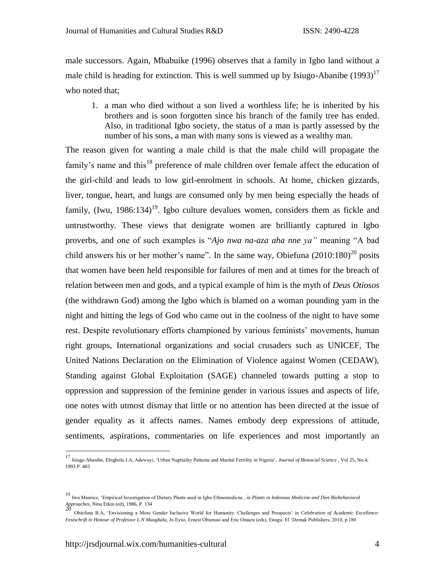male successors. Again, Mbabuike (1996) observes that a family in Igbo land without a male child is heading for extinction. This is well summed up by Isiugo-Abanibe  $(1993)^{17}$ who noted that;

1. a man who died without a son lived a worthless life; he is inherited by his brothers and is soon forgotten since his branch of the family tree has ended. Also, in traditional Igbo society, the status of a man is partly assessed by the number of his sons, a man with many sons is viewed as a wealthy man.

The reason given for wanting a male child is that the male child will propagate the family's name and this<sup>18</sup> preference of male children over female affect the education of the girl-child and leads to low girl-enrolment in schools. At home, chicken gizzards, liver, tongue, heart, and lungs are consumed only by men being especially the heads of family, (Iwu, 1986:134)<sup>19</sup>. Igbo culture devalues women, considers them as fickle and untrustworthy. These views that denigrate women are brilliantly captured in Igbo proverbs, and one of such examples is "*Ajo nwa na-aza aha nne ya"* meaning "A bad child answers his or her mother's name". In the same way, Obiefuna  $(2010:180)^{20}$  posits that women have been held responsible for failures of men and at times for the breach of relation between men and gods, and a typical example of him is the myth of *Deus Otiosos* (the withdrawn God) among the Igbo which is blamed on a woman pounding yam in the night and hitting the legs of God who came out in the coolness of the night to have some rest. Despite revolutionary efforts championed by various feminists' movements, human right groups, International organizations and social crusaders such as UNICEF, The United Nations Declaration on the Elimination of Violence against Women (CEDAW), Standing against Global Exploitation (SAGE) channeled towards putting a stop to oppression and suppression of the feminine gender in various issues and aspects of life, one notes with utmost dismay that little or no attention has been directed at the issue of gender equality as it affects names. Names embody deep expressions of attitude, sentiments, aspirations, commentaries on life experiences and most importantly an

<sup>17</sup> Isiugo Abanibe, Ebigbola J.A, Adewuyi, 'Urban Nuptiality Patterns and Marital Fertility in Nigeria', *Journal of Biosocial Science* , Vol 25, No.4, 1993 P. 483

<sup>19</sup> Iwu Maurice, 'Empirical Investigation of Dietary Plants used in Igbo Ethnomedicne , in *Plants in Indenous Medicine and Diet:Biobehavioral Approaches*, Nina Etkin (ed), 1986, P. 134 20

Obiefuna B.A, 'Envisioning a More Gender Inclusive World for Humanity: Challenges and Prospects' in *Celebration of Academic Excellence: Festschrift in Honour of Professor L.N Muoghalu,* Jo Eyisi, Ernest Obienusi and Eric Omazu (eds), Enugu: El 'Demak Publishers, 2010, p.180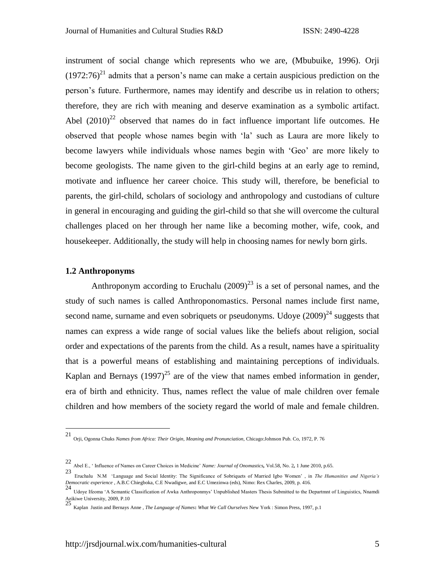instrument of social change which represents who we are, (Mbubuike, 1996). Orji  $(1972:76)^{21}$  admits that a person's name can make a certain auspicious prediction on the person's future. Furthermore, names may identify and describe us in relation to others; therefore, they are rich with meaning and deserve examination as a symbolic artifact. Abel  $(2010)^{22}$  observed that names do in fact influence important life outcomes. He observed that people whose names begin with 'la' such as Laura are more likely to become lawyers while individuals whose names begin with 'Geo' are more likely to become geologists. The name given to the girl-child begins at an early age to remind, motivate and influence her career choice. This study will, therefore, be beneficial to parents, the girl-child, scholars of sociology and anthropology and custodians of culture in general in encouraging and guiding the girl-child so that she will overcome the cultural challenges placed on her through her name like a becoming mother, wife, cook, and housekeeper. Additionally, the study will help in choosing names for newly born girls.

#### **1.2 Anthroponyms**

Anthroponym according to Eruchalu  $(2009)^{23}$  is a set of personal names, and the study of such names is called Anthroponomastics. Personal names include first name, second name, surname and even sobriquets or pseudonyms. Udoye  $(2009)^{24}$  suggests that names can express a wide range of social values like the beliefs about religion, social order and expectations of the parents from the child. As a result, names have a spirituality that is a powerful means of establishing and maintaining perceptions of individuals. Kaplan and Bernays  $(1997)^{25}$  are of the view that names embed information in gender, era of birth and ethnicity. Thus, names reflect the value of male children over female children and how members of the society regard the world of male and female children.

 21 Orji, Ogonna Chuks *Names from Africa: Their Origin, Meaning and Pronunciation,* Chicago:Johnson Pub. Co, 1972, P. 76

<sup>22</sup> Abel E., ' Influence of Names on Career Choices in Medicine' *Name: Journal of Onomastics,* Vol.58, No. 2*,* 1 June 2010, p.65.

<sup>23</sup> Eruchalu N.M 'Language and Social Identity: The Significance of Sobriquets of Married Igbo Women' , in *The Humanities and Nigeria's Democratic experience* , A.B.C Chiegboka, C.E Nwadigwe, and E.C Umezinwa (eds), Nimo: Rex Charles, 2009, p. 416.<br>24

Udoye Ifeoma 'A Semantic Classification of Awka Anthroponmys' Unpublished Masters Thesis Submitted to the Departmnt of Linguistics, Nnamdi Azikiwe University, 2009, P.10 25

Kaplan Justin and Bernays Anne , *The Language of Names***:** *What We Call Ourselves* New York : Simon Press, 1997, p.1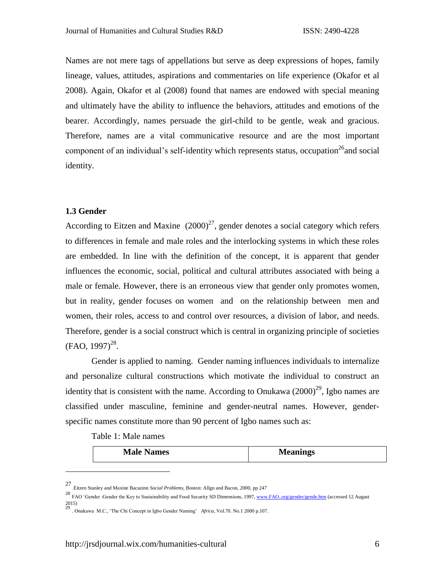Names are not mere tags of appellations but serve as deep expressions of hopes, family lineage, values, attitudes, aspirations and commentaries on life experience (Okafor et al 2008). Again, Okafor et al (2008) found that names are endowed with special meaning and ultimately have the ability to influence the behaviors, attitudes and emotions of the bearer. Accordingly, names persuade the girl-child to be gentle, weak and gracious. Therefore, names are a vital communicative resource and are the most important component of an individual's self-identity which represents status, occupation<sup>26</sup> and social identity.

#### **1.3 Gender**

According to Eitzen and Maxine  $(2000)^{27}$ , gender denotes a social category which refers to differences in female and male roles and the interlocking systems in which these roles are embedded. In line with the definition of the concept, it is apparent that gender influences the economic, social, political and cultural attributes associated with being a male or female. However, there is an erroneous view that gender only promotes women, but in reality, gender focuses on women and on the relationship between men and women, their roles, access to and control over resources, a division of labor, and needs. Therefore, gender is a social construct which is central in organizing principle of societies  $(FAO, 1997)^{28}$ .

Gender is applied to naming. Gender naming influences individuals to internalize and personalize cultural constructions which motivate the individual to construct an identity that is consistent with the name. According to Onukawa  $(2000)^{29}$ , Igbo names are classified under masculine, feminine and gender-neutral names. However, genderspecific names constitute more than 90 percent of Igbo names such as:

Table 1: Male names

| <b>Meanings</b><br><b>Male Names</b> |
|--------------------------------------|
|--------------------------------------|

<sup>27</sup> Eitzen Stanley and Maxine Bacazinn *Social Problems,* Boston: Allgn and Bacon, 2000, pp 247

<sup>&</sup>lt;sup>28</sup> FAO 'Gender :Gender the Key to Sustainability and Food Security SD Dimensions, 1997[, www.FAO..org/gender/gende.htm](http://www.fao..org/gender/gende.htm) (accessed 12 August 2015) 29 . Onukawa M.C., 'The Chi Concept in Igbo Gender Naming' *Africa,* Vol.70. No.1 2000 p.107.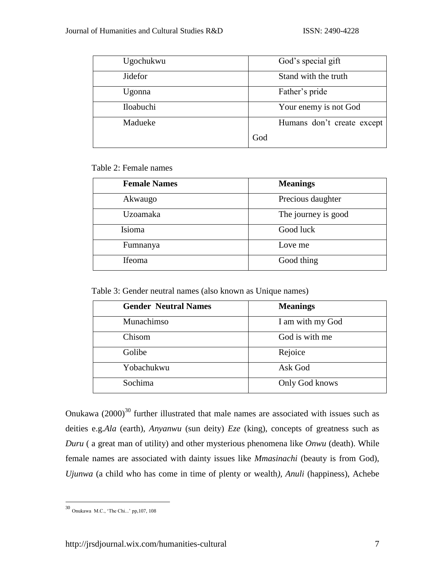| Ugochukwu | God's special gift         |
|-----------|----------------------------|
| Jidefor   | Stand with the truth       |
| Ugonna    | Father's pride             |
| Iloabuchi | Your enemy is not God      |
| Madueke   | Humans don't create except |
|           | God                        |

Table 2: Female names

| <b>Female Names</b> | <b>Meanings</b>     |
|---------------------|---------------------|
| Akwaugo             | Precious daughter   |
| <b>Uzoamaka</b>     | The journey is good |
| Isioma              | Good luck           |
| Fumnanya            | Love me             |
| Ifeoma              | Good thing          |

Table 3: Gender neutral names (also known as Unique names)

| <b>Gender Neutral Names</b> | <b>Meanings</b>  |
|-----------------------------|------------------|
| Munachimso                  | I am with my God |
| Chisom                      | God is with me   |
| Golibe                      | Rejoice          |
| Yobachukwu                  | Ask God          |
| Sochima                     | Only God knows   |

Onukawa  $(2000)^{30}$  further illustrated that male names are associated with issues such as deities e.g.*Ala* (earth), *Anyanwu* (sun deity) *Eze* (king), concepts of greatness such as *Duru* ( a great man of utility) and other mysterious phenomena like *Onwu* (death). While female names are associated with dainty issues like *Mmasinachi* (beauty is from God), *Ujunwa* (a child who has come in time of plenty or wealth*), Anuli* (happiness), Achebe

<sup>30</sup> Onukawa M.C., 'The Chi...' pp,107, 108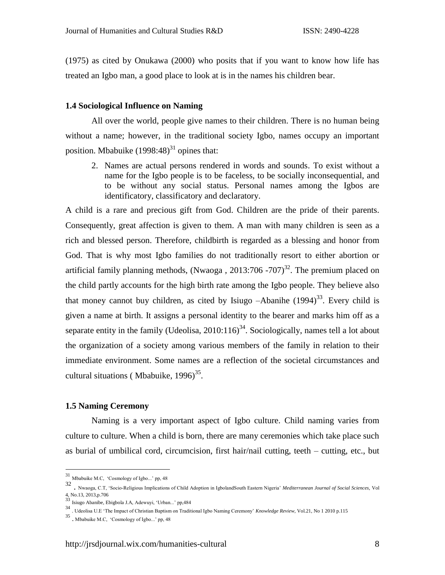(1975) as cited by Onukawa (2000) who posits that if you want to know how life has treated an Igbo man, a good place to look at is in the names his children bear.

#### **1.4 Sociological Influence on Naming**

All over the world, people give names to their children. There is no human being without a name; however, in the traditional society Igbo, names occupy an important position. Mbabuike  $(1998:48)^{31}$  opines that:

2. Names are actual persons rendered in words and sounds. To exist without a name for the Igbo people is to be faceless, to be socially inconsequential, and to be without any social status. Personal names among the Igbos are identificatory, classificatory and declaratory.

A child is a rare and precious gift from God. Children are the pride of their parents. Consequently, great affection is given to them. A man with many children is seen as a rich and blessed person. Therefore, childbirth is regarded as a blessing and honor from God. That is why most Igbo families do not traditionally resort to either abortion or artificial family planning methods, (Nwaoga,  $2013:706 - 707$ )<sup>32</sup>. The premium placed on the child partly accounts for the high birth rate among the Igbo people. They believe also that money cannot buy children, as cited by Isiugo  $-A$ banihe  $(1994)^{33}$ . Every child is given a name at birth. It assigns a personal identity to the bearer and marks him off as a separate entity in the family (Udeolisa,  $2010:116$ )<sup>34</sup>. Sociologically, names tell a lot about the organization of a society among various members of the family in relation to their immediate environment. Some names are a reflection of the societal circumstances and cultural situations (Mbabuike,  $1996$ )<sup>35</sup>.

#### **1.5 Naming Ceremony**

 $\overline{a}$ 

Naming is a very important aspect of Igbo culture. Child naming varies from culture to culture. When a child is born, there are many ceremonies which take place such as burial of umbilical cord, circumcision, first hair/nail cutting, teeth – cutting, etc., but

<sup>31</sup> Mbabuike M.C, 'Cosmology of Igbo...' pp, 48

<sup>32</sup> . Nwaoga, C.T, 'Socio-Religious Implications of Child Adoption in IgbolandSouth Eastern Nigeria' *Mediterranean Journal of Social Sciences,* Vol 4, No.13, 2013,p.706<br><sup>33</sup> Isiugo Abanibe, Ebigbola J.A, Adewuyi, 'Urban...' pp,484

<sup>34</sup> . Udeolisa U.E 'The Impact of Christian Baptism on Traditional Igbo Naming Ceremony' *Knowledge Review,* Vol.21, No 1 2010 p.115

<sup>35</sup> . Mbabuike M.C, 'Cosmology of Igbo...' pp, 48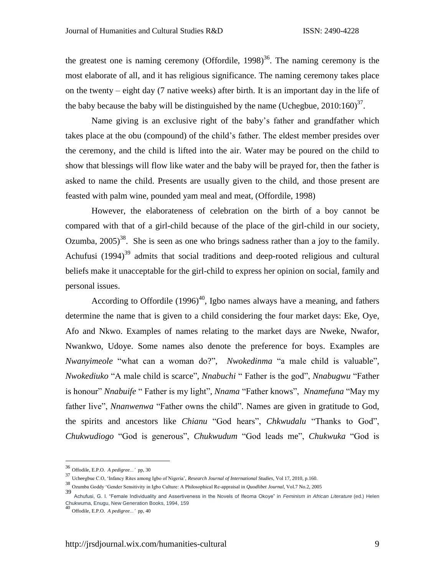the greatest one is naming ceremony (Offordile,  $1998$ )<sup>36</sup>. The naming ceremony is the most elaborate of all, and it has religious significance. The naming ceremony takes place on the twenty – eight day (7 native weeks) after birth. It is an important day in the life of the baby because the baby will be distinguished by the name (Uchegbue,  $2010:160$ )<sup>37</sup>.

Name giving is an exclusive right of the baby's father and grandfather which takes place at the obu (compound) of the child's father. The eldest member presides over the ceremony, and the child is lifted into the air. Water may be poured on the child to show that blessings will flow like water and the baby will be prayed for, then the father is asked to name the child. Presents are usually given to the child, and those present are feasted with palm wine, pounded yam meal and meat, (Offordile, 1998)

However, the elaborateness of celebration on the birth of a boy cannot be compared with that of a girl-child because of the place of the girl-child in our society, Ozumba,  $2005$ <sup>38</sup>. She is seen as one who brings sadness rather than a joy to the family. Achufusi  $(1994)^{39}$  admits that social traditions and deep-rooted religious and cultural beliefs make it unacceptable for the girl-child to express her opinion on social, family and personal issues.

According to Offordile (1996)<sup>40</sup>, Igbo names always have a meaning, and fathers determine the name that is given to a child considering the four market days: Eke, Oye, Afo and Nkwo. Examples of names relating to the market days are Nweke, Nwafor, Nwankwo, Udoye. Some names also denote the preference for boys. Examples are *Nwanyimeole* "what can a woman do?", *Nwokedinma* "a male child is valuable", *Nwokediuko* "A male child is scarce", *Nnabuchi* " Father is the god", *Nnabugwu* "Father is honour" *Nnabuife* " Father is my light", *Nnama* "Father knows", *Nnamefuna* "May my father live", *Nnanwenwa* "Father owns the child". Names are given in gratitude to God, the spirits and ancestors like *Chianu* "God hears", *Chkwudalu* "Thanks to God", *Chukwudiogo* "God is generous", *Chukwudum* "God leads me", *Chukwuka* "God is

<sup>36</sup> Offodile, E.P.O. *A pedigree...'* pp, 30

<sup>37</sup> Ucheegbue C.O, 'Infancy Rites among Igbo of Nigeria', *Research Journal of International Studies*, Vol 17, 2010, p.160.

<sup>38</sup> Ozumba Goddy 'Gender Sensitivity in Igbo Culture: A Philosophical Re-appraisal in *Quodlibet Journal*, Vol.7 No.2, 2005

<sup>39</sup> Achufusi, G. I. "Female Individuality and Assertiveness in the Novels of Ifeoma Okoye" in *Feminism in African Literature* (ed.) Helen Chukwuma, Enugu, New Generation Books, 1994, 159 <sup>40</sup> Offodile, E.P.O. *A pedigree...'* pp, 40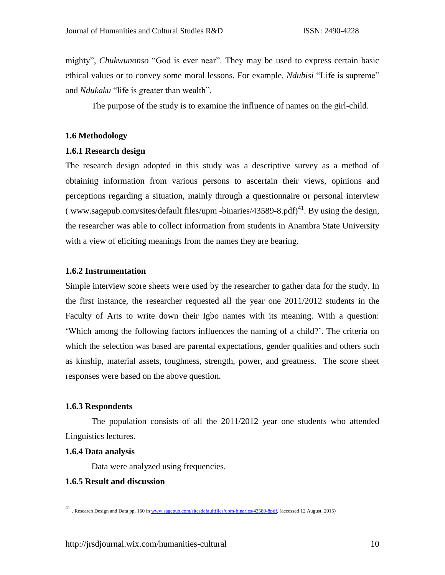mighty", *Chukwunonso* "God is ever near". They may be used to express certain basic ethical values or to convey some moral lessons. For example, *Ndubisi* "Life is supreme" and *Ndukaku* "life is greater than wealth".

The purpose of the study is to examine the influence of names on the girl-child.

### **1.6 Methodology**

#### **1.6.1 Research design**

The research design adopted in this study was a descriptive survey as a method of obtaining information from various persons to ascertain their views, opinions and perceptions regarding a situation, mainly through a questionnaire or personal interview ( www.sagepub.com/sites/default files/upm -binaries/43589-8.pdf)<sup>41</sup>. By using the design, the researcher was able to collect information from students in Anambra State University with a view of eliciting meanings from the names they are bearing.

### **1.6.2 Instrumentation**

Simple interview score sheets were used by the researcher to gather data for the study. In the first instance, the researcher requested all the year one 2011/2012 students in the Faculty of Arts to write down their Igbo names with its meaning. With a question: 'Which among the following factors influences the naming of a child?'. The criteria on which the selection was based are parental expectations, gender qualities and others such as kinship, material assets, toughness, strength, power, and greatness. The score sheet responses were based on the above question.

#### **1.6.3 Respondents**

The population consists of all the 2011/2012 year one students who attended Linguistics lectures.

#### **1.6.4 Data analysis**

 $\overline{a}$ 

Data were analyzed using frequencies.

### **1.6.5 Result and discussion**

<sup>41</sup> . Research Design and Data pp, 160 i[n www.sagepub.com/sitesdefaultfiles/upm-binaries/43589-8pdf,](http://www.sagepub.com/sitesdefaultfiles/upm-binaries/43589-8pdf) (accessed 12 August, 2015)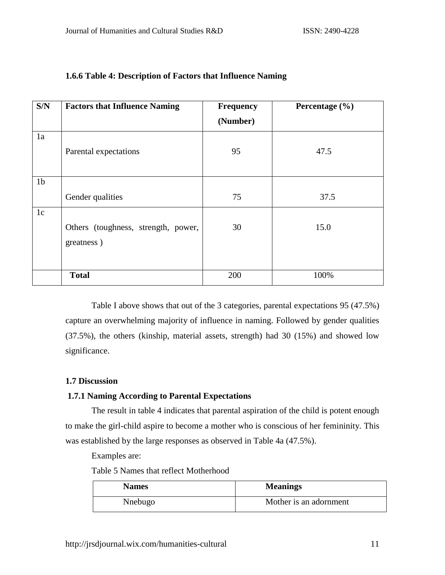| S/N            | <b>Factors that Influence Naming</b> | <b>Frequency</b> | Percentage $(\% )$ |
|----------------|--------------------------------------|------------------|--------------------|
|                |                                      | (Number)         |                    |
| 1a             |                                      |                  |                    |
|                | Parental expectations                | 95               | 47.5               |
|                |                                      |                  |                    |
| 1 <sub>b</sub> |                                      |                  |                    |
|                | Gender qualities                     | 75               | 37.5               |
|                |                                      |                  |                    |
| 1c             |                                      |                  |                    |
|                | Others (toughness, strength, power,  | 30               | 15.0               |
|                | greatness)                           |                  |                    |
|                |                                      |                  |                    |
|                |                                      |                  |                    |
|                | <b>Total</b>                         | 200              | 100%               |

# **1.6.6 Table 4: Description of Factors that Influence Naming**

Table I above shows that out of the 3 categories, parental expectations 95 (47.5%) capture an overwhelming majority of influence in naming. Followed by gender qualities (37.5%), the others (kinship, material assets, strength) had 30 (15%) and showed low significance.

## **1.7 Discussion**

# **1.7.1 Naming According to Parental Expectations**

The result in table 4 indicates that parental aspiration of the child is potent enough to make the girl-child aspire to become a mother who is conscious of her femininity. This was established by the large responses as observed in Table 4a (47.5%).

Examples are:

Table 5 Names that reflect Motherhood

| <b>Names</b> | <b>Meanings</b>        |
|--------------|------------------------|
| Nnebugo      | Mother is an adornment |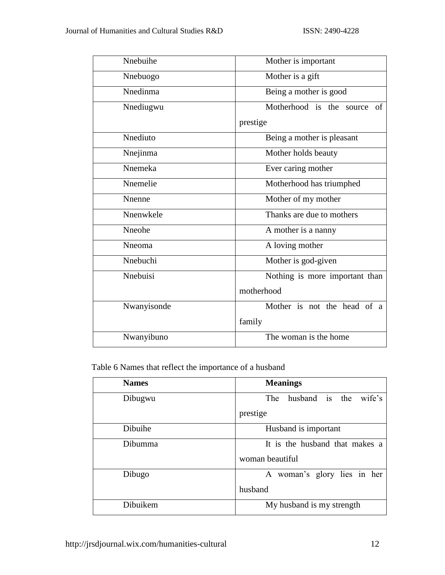| Nnebuihe    | Mother is important               |
|-------------|-----------------------------------|
| Nnebuogo    | Mother is a gift                  |
| Nnedinma    | Being a mother is good            |
| Nnediugwu   | Motherhood is the<br>of<br>source |
|             | prestige                          |
| Nnediuto    | Being a mother is pleasant        |
| Nnejinma    | Mother holds beauty               |
| Nnemeka     | Ever caring mother                |
| Nnemelie    | Motherhood has triumphed          |
| Nnenne      | Mother of my mother               |
| Nnenwkele   | Thanks are due to mothers         |
| Nneohe      | A mother is a nanny               |
| Nneoma      | A loving mother                   |
| Nnebuchi    | Mother is god-given               |
| Nnebuisi    | Nothing is more important than    |
|             | motherhood                        |
| Nwanyisonde | Mother is not the head of a       |
|             | family                            |
| Nwanyibuno  | The woman is the home             |

Table 6 Names that reflect the importance of a husband

| <b>Names</b> | <b>Meanings</b>                 |
|--------------|---------------------------------|
| Dibugwu      | husband is the<br>The<br>wife's |
|              | prestige                        |
| Dibuihe      | Husband is important            |
| Dibumma      | It is the husband that makes a  |
|              | woman beautiful                 |
| Dibugo       | A woman's glory lies in her     |
|              | husband                         |
| Dibuikem     | My husband is my strength       |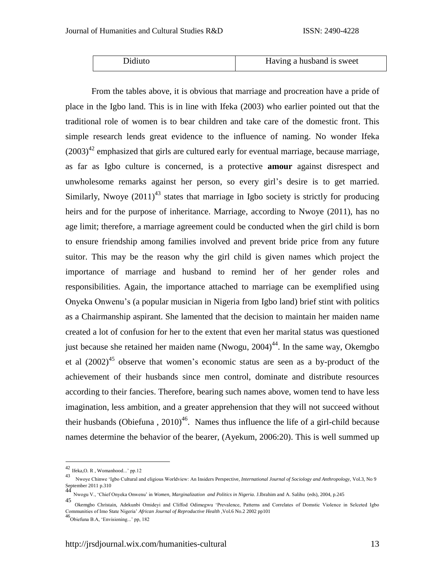| Didiuto | Having a husband is sweet |
|---------|---------------------------|

From the tables above, it is obvious that marriage and procreation have a pride of place in the Igbo land. This is in line with Ifeka (2003) who earlier pointed out that the traditional role of women is to bear children and take care of the domestic front. This simple research lends great evidence to the influence of naming. No wonder Ifeka  $(2003)^{42}$  emphasized that girls are cultured early for eventual marriage, because marriage, as far as Igbo culture is concerned, is a protective **amour** against disrespect and unwholesome remarks against her person, so every girl's desire is to get married. Similarly, Nwoye  $(2011)^{43}$  states that marriage in Igbo society is strictly for producing heirs and for the purpose of inheritance. Marriage, according to Nwoye (2011), has no age limit; therefore, a marriage agreement could be conducted when the girl child is born to ensure friendship among families involved and prevent bride price from any future suitor. This may be the reason why the girl child is given names which project the importance of marriage and husband to remind her of her gender roles and responsibilities. Again, the importance attached to marriage can be exemplified using Onyeka Onwenu's (a popular musician in Nigeria from Igbo land) brief stint with politics as a Chairmanship aspirant. She lamented that the decision to maintain her maiden name created a lot of confusion for her to the extent that even her marital status was questioned just because she retained her maiden name (Nwogu,  $2004$ )<sup>44</sup>. In the same way, Okemgbo et al  $(2002)^{45}$  observe that women's economic status are seen as a by-product of the achievement of their husbands since men control, dominate and distribute resources according to their fancies. Therefore, bearing such names above, women tend to have less imagination, less ambition, and a greater apprehension that they will not succeed without their husbands (Obiefuna,  $2010<sup>46</sup>$ . Names thus influence the life of a girl-child because names determine the behavior of the bearer, (Ayekum, 2006:20). This is well summed up

 $^{42}$  Ifeka, O. R , Womanhood...' pp.12

<sup>43</sup> Nwoye Chinwe 'Igbo Cultural and eligious Worldview: An Insiders Perspective, *International Journal of Sociology and Anthropology,* Vol.3, No 9 September 2011 p.310 44

Nwogu V., 'Chief Onyeka Onwenu' in *Women, Marginalization and Politics in Nigeria.* J.Ibrahim and A. Salihu (eds), 2004, p.245

<sup>45</sup> Okemgbo Christain, Adekunbi Omideyi and Cliffod Odimegwu 'Prevalence, Patterns and Correlates of Domstic Violence in Selceted Igbo Communities of Imo State Nigeria' *African Journal of Reproductive Health* ,Vol.6 No.2 2002 pp101

<sup>46</sup>Obiefuna B.A, 'Envisioning...' pp, 182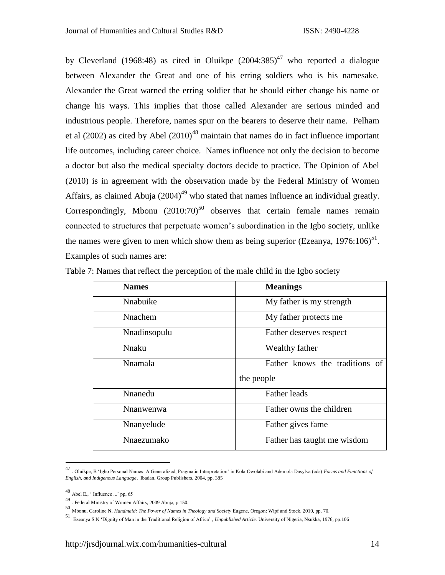by Cleverland (1968:48) as cited in Oluikpe (2004:385)<sup>47</sup> who reported a dialogue between Alexander the Great and one of his erring soldiers who is his namesake. Alexander the Great warned the erring soldier that he should either change his name or change his ways. This implies that those called Alexander are serious minded and industrious people. Therefore, names spur on the bearers to deserve their name. Pelham et al (2002) as cited by Abel (2010)<sup>48</sup> maintain that names do in fact influence important life outcomes, including career choice. Names influence not only the decision to become a doctor but also the medical specialty doctors decide to practice. The Opinion of Abel (2010) is in agreement with the observation made by the Federal Ministry of Women Affairs, as claimed Abuja  $(2004)^{49}$  who stated that names influence an individual greatly. Correspondingly, Mbonu  $(2010:70)^{50}$  observes that certain female names remain connected to structures that perpetuate women's subordination in the Igbo society, unlike the names were given to men which show them as being superior (Ezeanya,  $1976:106$ )<sup>51</sup>. Examples of such names are:

| <b>Names</b>   | <b>Meanings</b>                |
|----------------|--------------------------------|
| Nnabuike       | My father is my strength       |
| <b>Nnachem</b> | My father protects me          |
| Nnadinsopulu   | Father deserves respect        |
| Nnaku          | Wealthy father                 |
| <b>Nnamala</b> | Father knows the traditions of |
|                | the people                     |
| Nnanedu        | <b>Father leads</b>            |
| Nnanwenwa      | Father owns the children       |
| Nnanyelude     | Father gives fame              |
| Nnaezumako     | Father has taught me wisdom    |

Table 7: Names that reflect the perception of the male child in the Igbo society

<sup>47</sup> . Oluikpe, B 'Igbo Personal Names: A Generalized, Pragmatic Interpretation' in Kola Owolabi and Ademola Dasylva (eds) *Forms and Functions of English, and Indigenous Language*, Ibadan, Group Publishers, 2004, pp. 385

<sup>48</sup> Abel E., ' Influence ...' pp, 65

<sup>49</sup> . Federal Ministry of Women Affairs, 2009 Abuja, p.150.

<sup>50</sup> Mbonu, Caroline N. *Handmaid: The Power of Names in Theology and Society* Eugene, Oregon: Wipf and Stock, 2010, pp. 70.

<sup>51</sup> Ezeanya S.N 'Dignity of Man in the Traditional Religion of Africa' , *Unpublished Article.* University of Nigeria, Nsukka, 1976, pp.106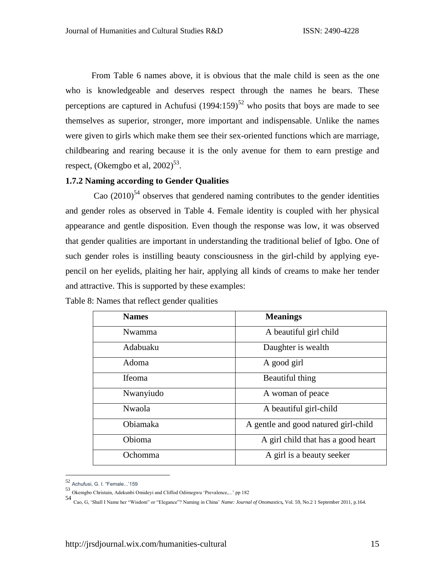From Table 6 names above, it is obvious that the male child is seen as the one who is knowledgeable and deserves respect through the names he bears. These perceptions are captured in Achufusi  $(1994:159)^{52}$  who posits that boys are made to see themselves as superior, stronger, more important and indispensable. Unlike the names were given to girls which make them see their sex-oriented functions which are marriage, childbearing and rearing because it is the only avenue for them to earn prestige and respect, (Okemgbo et al,  $2002)^{53}$ .

## **1.7.2 Naming according to Gender Qualities**

Cao  $(2010)^{54}$  observes that gendered naming contributes to the gender identities and gender roles as observed in Table 4. Female identity is coupled with her physical appearance and gentle disposition. Even though the response was low, it was observed that gender qualities are important in understanding the traditional belief of Igbo. One of such gender roles is instilling beauty consciousness in the girl-child by applying eyepencil on her eyelids, plaiting her hair, applying all kinds of creams to make her tender and attractive. This is supported by these examples:

| <b>Names</b>  | <b>Meanings</b>                      |
|---------------|--------------------------------------|
| Nwamma        | A beautiful girl child               |
| Adabuaku      | Daughter is wealth                   |
| Adoma         | A good girl                          |
| <b>Ifeoma</b> | Beautiful thing                      |
| Nwanyiudo     | A woman of peace                     |
| <b>Nwaola</b> | A beautiful girl-child               |
| Obiamaka      | A gentle and good natured girl-child |
| Obioma        | A girl child that has a good heart   |
| Ochomma       | A girl is a beauty seeker            |

Table 8: Names that reflect gender qualities

<sup>52</sup> Achufusi, G. I. "Female...'159

<sup>53</sup> Okemgbo Christain, Adekunbi Omideyi and Cliffod Odimegwu 'Prevalence,...' pp 182

<sup>54</sup> Cao, G, 'Shall I Name her "Wisdom" or "Elegance"? Naming in China' *Name: Journal of Onomastics,* Vol. 59, No.2 1 September 2011, p.164.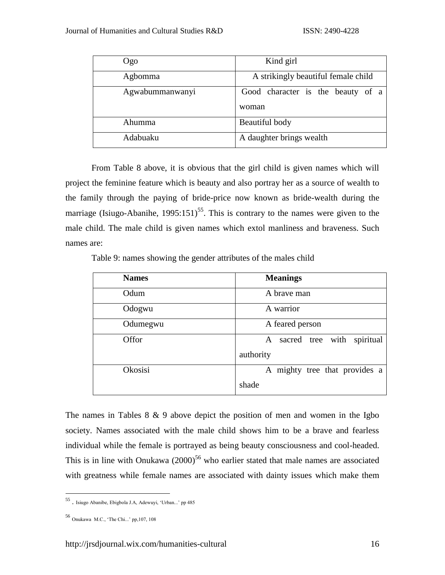| Ogo             | Kind girl                                  |
|-----------------|--------------------------------------------|
| Agbomma         | A strikingly beautiful female child        |
| Agwabummanwanyi | Good character is the beauty of a<br>woman |
| Ahumma          | Beautiful body                             |
| Adabuaku        | A daughter brings wealth                   |

From Table 8 above, it is obvious that the girl child is given names which will project the feminine feature which is beauty and also portray her as a source of wealth to the family through the paying of bride-price now known as bride-wealth during the marriage (Isiugo-Abanihe,  $1995:151$ )<sup>55</sup>. This is contrary to the names were given to the male child. The male child is given names which extol manliness and braveness. Such names are:

Table 9: names showing the gender attributes of the males child

| <b>Names</b> | <b>Meanings</b>                    |
|--------------|------------------------------------|
| Odum         | A brave man                        |
| Odogwu       | A warrior                          |
| Odumegwu     | A feared person                    |
| Offor        | sacred tree with<br>spiritual<br>A |
|              | authority                          |
| Okosisi      | A mighty tree that provides a      |
|              | shade                              |

The names in Tables  $8 \& 9$  above depict the position of men and women in the Igbo society. Names associated with the male child shows him to be a brave and fearless individual while the female is portrayed as being beauty consciousness and cool-headed. This is in line with Onukawa  $(2000)^{56}$  who earlier stated that male names are associated with greatness while female names are associated with dainty issues which make them

 55 . Isiugo Abanibe, Ebigbola J.A, Adewuyi, 'Urban...' pp 485

<sup>56</sup> Onukawa M.C., 'The Chi...' pp,107, 108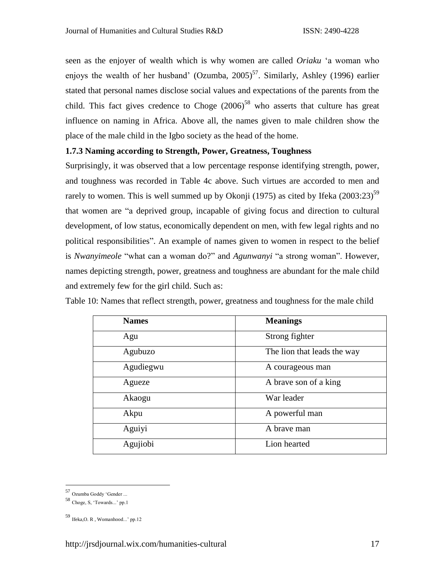seen as the enjoyer of wealth which is why women are called *Oriaku* 'a woman who enjoys the wealth of her husband' (Ozumba,  $2005$ )<sup>57</sup>. Similarly, Ashley (1996) earlier stated that personal names disclose social values and expectations of the parents from the child. This fact gives credence to Choge  $(2006)^{58}$  who asserts that culture has great influence on naming in Africa. Above all, the names given to male children show the place of the male child in the Igbo society as the head of the home.

## **1.7.3 Naming according to Strength, Power, Greatness, Toughness**

Surprisingly, it was observed that a low percentage response identifying strength, power, and toughness was recorded in Table 4c above. Such virtues are accorded to men and rarely to women. This is well summed up by Okonji (1975) as cited by Ifeka (2003:23)<sup>59</sup> that women are "a deprived group, incapable of giving focus and direction to cultural development, of low status, economically dependent on men, with few legal rights and no political responsibilities". An example of names given to women in respect to the belief is *Nwanyimeole* "what can a woman do?" and *Agunwanyi* "a strong woman". However, names depicting strength, power, greatness and toughness are abundant for the male child and extremely few for the girl child. Such as:

| <b>Names</b> | <b>Meanings</b>             |
|--------------|-----------------------------|
| Agu          | Strong fighter              |
| Agubuzo      | The lion that leads the way |
| Agudiegwu    | A courageous man            |
| Agueze       | A brave son of a king       |
| Akaogu       | War leader                  |
| Akpu         | A powerful man              |
| Aguiyi       | A brave man                 |
| Agujiobi     | Lion hearted                |

Table 10: Names that reflect strength, power, greatness and toughness for the male child

<sup>57</sup> Ozumba Goddy 'Gender ...

<sup>58</sup> Choge, S, 'Towards...' pp.1

<sup>59</sup> Ifeka,O. R , Womanhood...' pp.12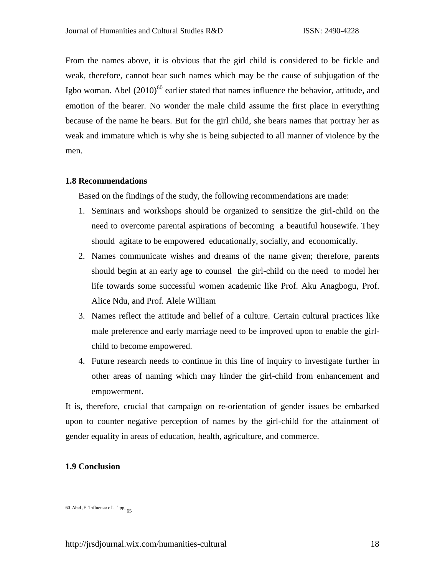From the names above, it is obvious that the girl child is considered to be fickle and weak, therefore, cannot bear such names which may be the cause of subjugation of the Igbo woman. Abel (2010)<sup>60</sup> earlier stated that names influence the behavior, attitude, and emotion of the bearer. No wonder the male child assume the first place in everything because of the name he bears. But for the girl child, she bears names that portray her as weak and immature which is why she is being subjected to all manner of violence by the men.

### **1.8 Recommendations**

Based on the findings of the study, the following recommendations are made:

- 1. Seminars and workshops should be organized to sensitize the girl-child on the need to overcome parental aspirations of becoming a beautiful housewife. They should agitate to be empowered educationally, socially, and economically.
- 2. Names communicate wishes and dreams of the name given; therefore, parents should begin at an early age to counsel the girl-child on the need to model her life towards some successful women academic like Prof. Aku Anagbogu, Prof. Alice Ndu, and Prof. Alele William
- 3. Names reflect the attitude and belief of a culture. Certain cultural practices like male preference and early marriage need to be improved upon to enable the girlchild to become empowered.
- 4. Future research needs to continue in this line of inquiry to investigate further in other areas of naming which may hinder the girl-child from enhancement and empowerment.

It is, therefore, crucial that campaign on re-orientation of gender issues be embarked upon to counter negative perception of names by the girl-child for the attainment of gender equality in areas of education, health, agriculture, and commerce.

## **1.9 Conclusion**

 $\overline{a}$ 60 Abel , E 'Influence of ...' pp,  $65$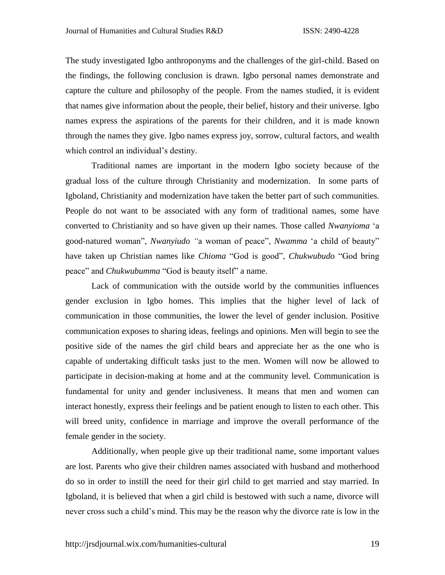The study investigated Igbo anthroponyms and the challenges of the girl-child. Based on the findings, the following conclusion is drawn. Igbo personal names demonstrate and capture the culture and philosophy of the people. From the names studied, it is evident that names give information about the people, their belief, history and their universe. Igbo names express the aspirations of the parents for their children, and it is made known through the names they give. Igbo names express joy, sorrow, cultural factors, and wealth which control an individual's destiny.

Traditional names are important in the modern Igbo society because of the gradual loss of the culture through Christianity and modernization. In some parts of Igboland, Christianity and modernization have taken the better part of such communities. People do not want to be associated with any form of traditional names, some have converted to Christianity and so have given up their names. Those called *Nwanyioma* 'a good-natured woman", *Nwanyiudo "*a woman of peace", *Nwamma* 'a child of beauty" have taken up Christian names like *Chioma* "God is good", *Chukwubudo* "God bring peace" and *Chukwubumma* "God is beauty itself" a name.

Lack of communication with the outside world by the communities influences gender exclusion in Igbo homes. This implies that the higher level of lack of communication in those communities, the lower the level of gender inclusion. Positive communication exposes to sharing ideas, feelings and opinions. Men will begin to see the positive side of the names the girl child bears and appreciate her as the one who is capable of undertaking difficult tasks just to the men. Women will now be allowed to participate in decision-making at home and at the community level. Communication is fundamental for unity and gender inclusiveness. It means that men and women can interact honestly, express their feelings and be patient enough to listen to each other. This will breed unity, confidence in marriage and improve the overall performance of the female gender in the society.

Additionally, when people give up their traditional name, some important values are lost. Parents who give their children names associated with husband and motherhood do so in order to instill the need for their girl child to get married and stay married. In Igboland, it is believed that when a girl child is bestowed with such a name, divorce will never cross such a child's mind. This may be the reason why the divorce rate is low in the